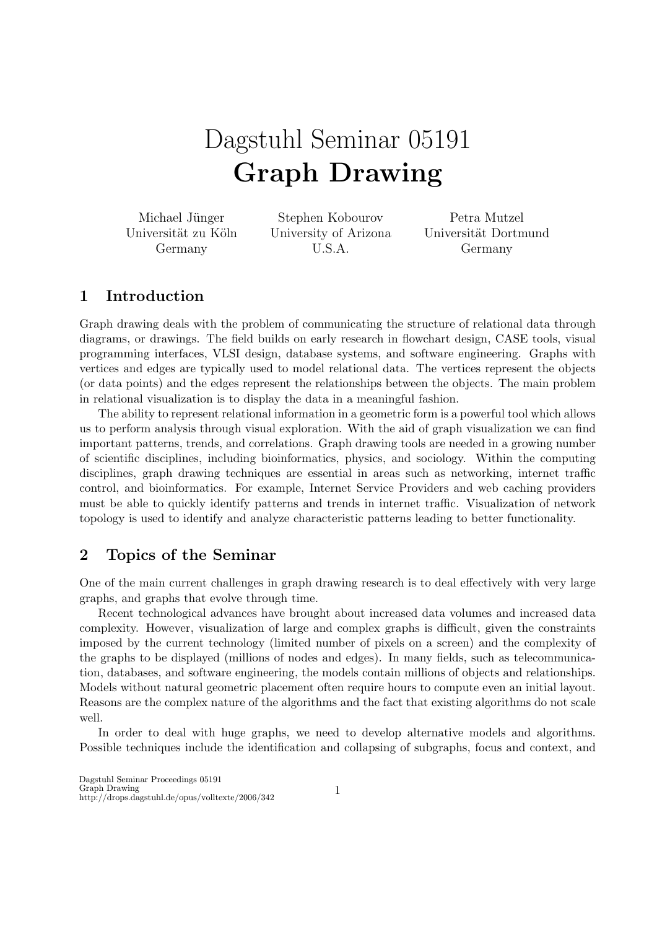# Dagstuhl Seminar 05191 Graph Drawing

Michael Jünger Universität zu Köln Germany

Stephen Kobourov University of Arizona U.S.A.

Petra Mutzel Universität Dortmund Germany

## 1 Introduction

Graph drawing deals with the problem of communicating the structure of relational data through diagrams, or drawings. The field builds on early research in flowchart design, CASE tools, visual programming interfaces, VLSI design, database systems, and software engineering. Graphs with vertices and edges are typically used to model relational data. The vertices represent the objects (or data points) and the edges represent the relationships between the objects. The main problem in relational visualization is to display the data in a meaningful fashion.

The ability to represent relational information in a geometric form is a powerful tool which allows us to perform analysis through visual exploration. With the aid of graph visualization we can find important patterns, trends, and correlations. Graph drawing tools are needed in a growing number of scientific disciplines, including bioinformatics, physics, and sociology. Within the computing disciplines, graph drawing techniques are essential in areas such as networking, internet traffic control, and bioinformatics. For example, Internet Service Providers and web caching providers must be able to quickly identify patterns and trends in internet traffic. Visualization of network topology is used to identify and analyze characteristic patterns leading to better functionality.

### 2 Topics of the Seminar

One of the main current challenges in graph drawing research is to deal effectively with very large graphs, and graphs that evolve through time.

Recent technological advances have brought about increased data volumes and increased data complexity. However, visualization of large and complex graphs is difficult, given the constraints imposed by the current technology (limited number of pixels on a screen) and the complexity of the graphs to be displayed (millions of nodes and edges). In many fields, such as telecommunication, databases, and software engineering, the models contain millions of objects and relationships. Models without natural geometric placement often require hours to compute even an initial layout. Reasons are the complex nature of the algorithms and the fact that existing algorithms do not scale well.

In order to deal with huge graphs, we need to develop alternative models and algorithms. Possible techniques include the identification and collapsing of subgraphs, focus and context, and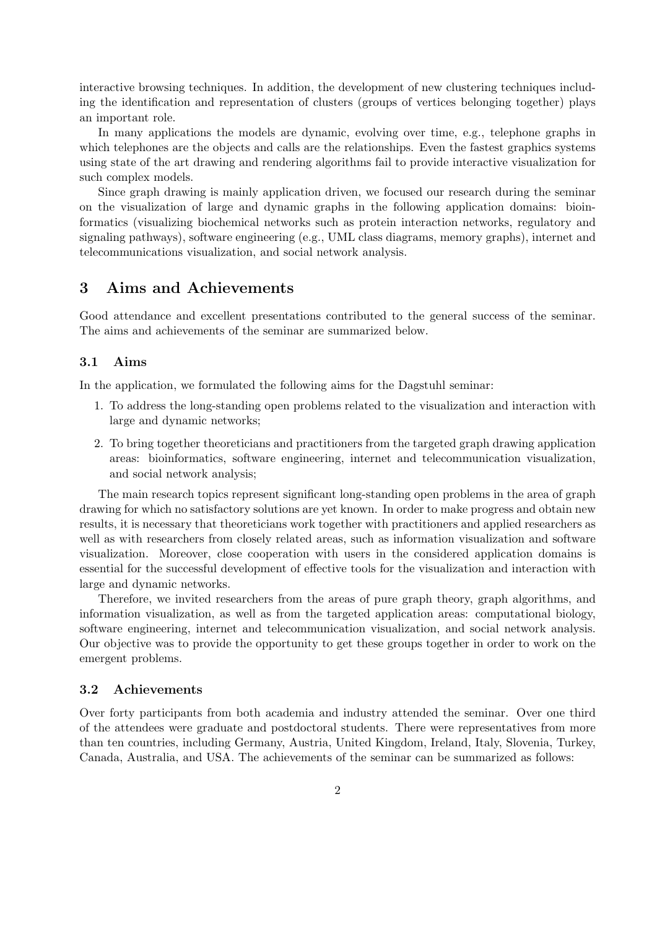interactive browsing techniques. In addition, the development of new clustering techniques including the identification and representation of clusters (groups of vertices belonging together) plays an important role.

In many applications the models are dynamic, evolving over time, e.g., telephone graphs in which telephones are the objects and calls are the relationships. Even the fastest graphics systems using state of the art drawing and rendering algorithms fail to provide interactive visualization for such complex models.

Since graph drawing is mainly application driven, we focused our research during the seminar on the visualization of large and dynamic graphs in the following application domains: bioinformatics (visualizing biochemical networks such as protein interaction networks, regulatory and signaling pathways), software engineering (e.g., UML class diagrams, memory graphs), internet and telecommunications visualization, and social network analysis.

## 3 Aims and Achievements

Good attendance and excellent presentations contributed to the general success of the seminar. The aims and achievements of the seminar are summarized below.

#### 3.1 Aims

In the application, we formulated the following aims for the Dagstuhl seminar:

- 1. To address the long-standing open problems related to the visualization and interaction with large and dynamic networks;
- 2. To bring together theoreticians and practitioners from the targeted graph drawing application areas: bioinformatics, software engineering, internet and telecommunication visualization, and social network analysis;

The main research topics represent significant long-standing open problems in the area of graph drawing for which no satisfactory solutions are yet known. In order to make progress and obtain new results, it is necessary that theoreticians work together with practitioners and applied researchers as well as with researchers from closely related areas, such as information visualization and software visualization. Moreover, close cooperation with users in the considered application domains is essential for the successful development of effective tools for the visualization and interaction with large and dynamic networks.

Therefore, we invited researchers from the areas of pure graph theory, graph algorithms, and information visualization, as well as from the targeted application areas: computational biology, software engineering, internet and telecommunication visualization, and social network analysis. Our objective was to provide the opportunity to get these groups together in order to work on the emergent problems.

#### 3.2 Achievements

Over forty participants from both academia and industry attended the seminar. Over one third of the attendees were graduate and postdoctoral students. There were representatives from more than ten countries, including Germany, Austria, United Kingdom, Ireland, Italy, Slovenia, Turkey, Canada, Australia, and USA. The achievements of the seminar can be summarized as follows: